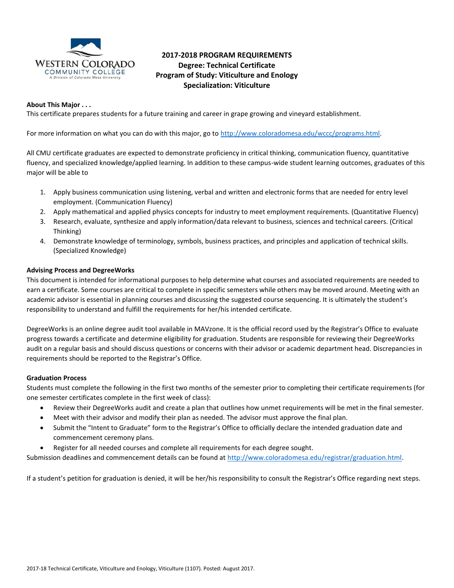

# **2017-2018 PROGRAM REQUIREMENTS Degree: Technical Certificate Program of Study: Viticulture and Enology Specialization: Viticulture**

### **About This Major . . .**

This certificate prepares students for a future training and career in grape growing and vineyard establishment.

For more information on what you can do with this major, go to [http://www.coloradomesa.edu/wccc/programs.html.](http://www.coloradomesa.edu/wccc/programs.html)

All CMU certificate graduates are expected to demonstrate proficiency in critical thinking, communication fluency, quantitative fluency, and specialized knowledge/applied learning. In addition to these campus-wide student learning outcomes, graduates of this major will be able to

- 1. Apply business communication using listening, verbal and written and electronic forms that are needed for entry level employment. (Communication Fluency)
- 2. Apply mathematical and applied physics concepts for industry to meet employment requirements. (Quantitative Fluency)
- 3. Research, evaluate, synthesize and apply information/data relevant to business, sciences and technical careers. (Critical Thinking)
- 4. Demonstrate knowledge of terminology, symbols, business practices, and principles and application of technical skills. (Specialized Knowledge)

### **Advising Process and DegreeWorks**

This document is intended for informational purposes to help determine what courses and associated requirements are needed to earn a certificate. Some courses are critical to complete in specific semesters while others may be moved around. Meeting with an academic advisor is essential in planning courses and discussing the suggested course sequencing. It is ultimately the student's responsibility to understand and fulfill the requirements for her/his intended certificate.

DegreeWorks is an online degree audit tool available in MAVzone. It is the official record used by the Registrar's Office to evaluate progress towards a certificate and determine eligibility for graduation. Students are responsible for reviewing their DegreeWorks audit on a regular basis and should discuss questions or concerns with their advisor or academic department head. Discrepancies in requirements should be reported to the Registrar's Office.

#### **Graduation Process**

Students must complete the following in the first two months of the semester prior to completing their certificate requirements (for one semester certificates complete in the first week of class):

- Review their DegreeWorks audit and create a plan that outlines how unmet requirements will be met in the final semester.
- Meet with their advisor and modify their plan as needed. The advisor must approve the final plan.
- Submit the "Intent to Graduate" form to the Registrar's Office to officially declare the intended graduation date and commencement ceremony plans.
- Register for all needed courses and complete all requirements for each degree sought.

Submission deadlines and commencement details can be found at [http://www.coloradomesa.edu/registrar/graduation.html.](http://www.coloradomesa.edu/registrar/graduation.html)

If a student's petition for graduation is denied, it will be her/his responsibility to consult the Registrar's Office regarding next steps.